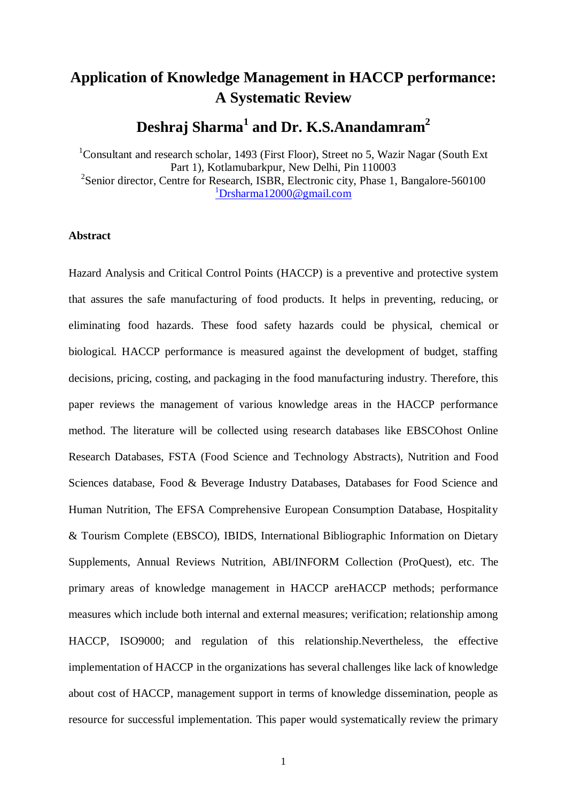# **Application of Knowledge Management in HACCP performance: A Systematic Review**

**Deshraj Sharma<sup>1</sup> and Dr. K.S.Anandamram<sup>2</sup>**

<sup>1</sup>Consultant and research scholar, 1493 (First Floor), Street no 5, Wazir Nagar (South Ext) Part 1), Kotlamubarkpur, New Delhi, Pin 110003 <sup>2</sup>Senior director, Centre for Research, ISBR, Electronic city, Phase 1, Bangalore-560100  $1D$ rsharma $12000@$ gmail.com

## **Abstract**

Hazard Analysis and Critical Control Points (HACCP) is a preventive and protective system that assures the safe manufacturing of food products. It helps in preventing, reducing, or eliminating food hazards. These food safety hazards could be physical, chemical or biological. HACCP performance is measured against the development of budget, staffing decisions, pricing, costing, and packaging in the food manufacturing industry. Therefore, this paper reviews the management of various knowledge areas in the HACCP performance method. The literature will be collected using research databases like EBSCOhost Online Research Databases, FSTA (Food Science and Technology Abstracts), Nutrition and Food Sciences database, Food & Beverage Industry Databases, Databases for Food Science and Human Nutrition, The EFSA Comprehensive European Consumption Database, Hospitality & Tourism Complete (EBSCO), IBIDS, International Bibliographic Information on Dietary Supplements, Annual Reviews Nutrition, ABI/INFORM Collection (ProQuest), etc. The primary areas of knowledge management in HACCP areHACCP methods; performance measures which include both internal and external measures; verification; relationship among HACCP, ISO9000; and regulation of this relationship.Nevertheless, the effective implementation of HACCP in the organizations has several challenges like lack of knowledge about cost of HACCP, management support in terms of knowledge dissemination, people as resource for successful implementation. This paper would systematically review the primary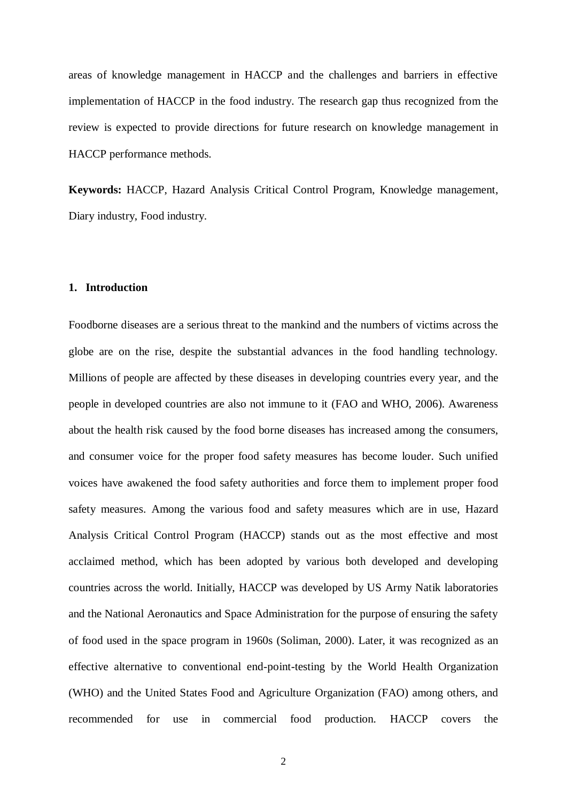areas of knowledge management in HACCP and the challenges and barriers in effective implementation of HACCP in the food industry. The research gap thus recognized from the review is expected to provide directions for future research on knowledge management in HACCP performance methods.

**Keywords:** HACCP, Hazard Analysis Critical Control Program, Knowledge management, Diary industry, Food industry.

### **1. Introduction**

Foodborne diseases are a serious threat to the mankind and the numbers of victims across the globe are on the rise, despite the substantial advances in the food handling technology. Millions of people are affected by these diseases in developing countries every year, and the people in developed countries are also not immune to it (FAO and WHO, 2006). Awareness about the health risk caused by the food borne diseases has increased among the consumers, and consumer voice for the proper food safety measures has become louder. Such unified voices have awakened the food safety authorities and force them to implement proper food safety measures. Among the various food and safety measures which are in use, Hazard Analysis Critical Control Program (HACCP) stands out as the most effective and most acclaimed method, which has been adopted by various both developed and developing countries across the world. Initially, HACCP was developed by US Army Natik laboratories and the National Aeronautics and Space Administration for the purpose of ensuring the safety of food used in the space program in 1960s (Soliman, 2000). Later, it was recognized as an effective alternative to conventional end-point-testing by the World Health Organization (WHO) and the United States Food and Agriculture Organization (FAO) among others, and recommended for use in commercial food production. HACCP covers the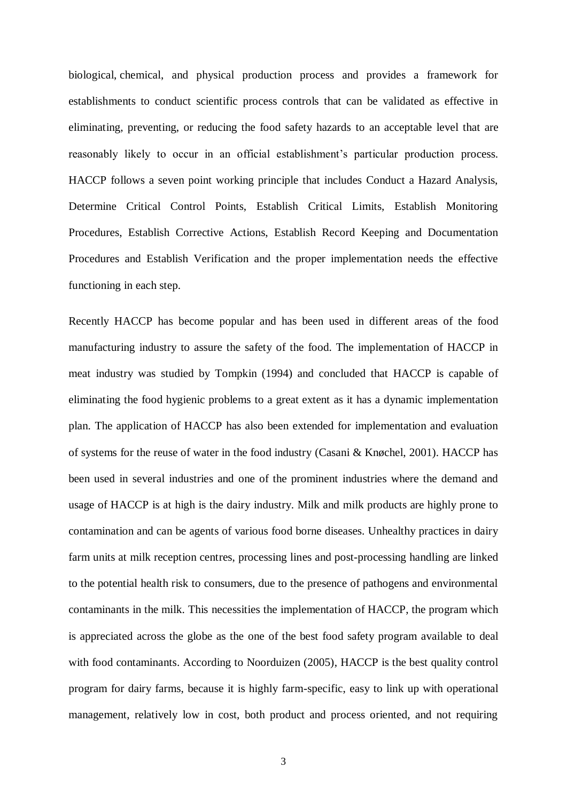[biological,](https://en.wikipedia.org/wiki/Biological_hazard) [chemical,](https://en.wikipedia.org/wiki/Chemical_hazard) and physical production process and provides a framework for establishments to conduct scientific process controls that can be validated as effective in eliminating, preventing, or reducing the food safety hazards to an acceptable level that are reasonably likely to occur in an official establishment's particular production process. HACCP follows a seven point working principle that includes Conduct a Hazard Analysis, Determine Critical Control Points, Establish Critical Limits, Establish Monitoring Procedures, Establish Corrective Actions, Establish Record Keeping and Documentation Procedures and Establish Verification and the proper implementation needs the effective functioning in each step.

Recently HACCP has become popular and has been used in different areas of the food manufacturing industry to assure the safety of the food. The implementation of HACCP in meat industry was studied by Tompkin (1994) and concluded that HACCP is capable of eliminating the food hygienic problems to a great extent as it has a dynamic implementation plan. The application of HACCP has also been extended for implementation and evaluation of systems for the reuse of water in the food industry (Casani & Knøchel, 2001). HACCP has been used in several industries and one of the prominent industries where the demand and usage of HACCP is at high is the dairy industry. Milk and milk products are highly prone to contamination and can be agents of various food borne diseases. Unhealthy practices in dairy farm units at milk reception centres, processing lines and post-processing handling are linked to the potential health risk to consumers, due to the presence of pathogens and environmental contaminants in the milk. This necessities the implementation of HACCP, the program which is appreciated across the globe as the one of the best food safety program available to deal with food contaminants. According to Noorduizen (2005), HACCP is the best quality control program for dairy farms, because it is highly farm-specific, easy to link up with operational management, relatively low in cost, both product and process oriented, and not requiring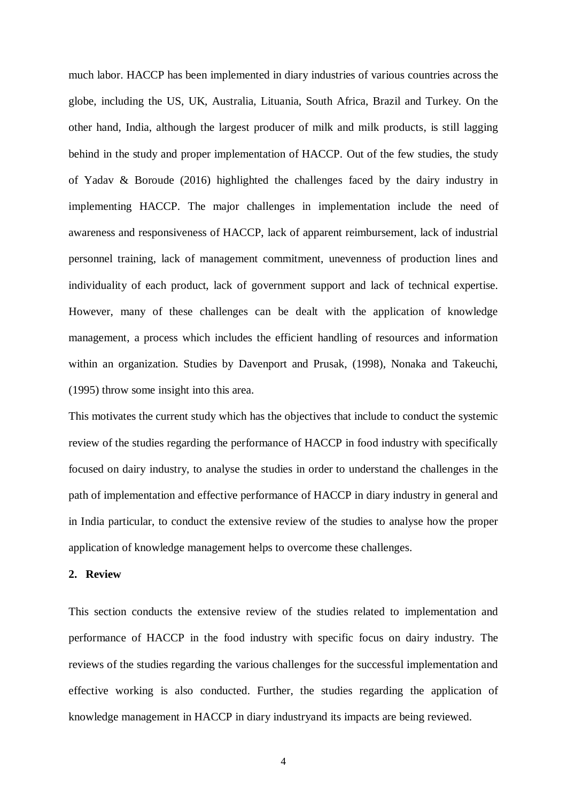much labor. HACCP has been implemented in diary industries of various countries across the globe, including the US, UK, Australia, Lituania, South Africa, Brazil and Turkey. On the other hand, India, although the largest producer of milk and milk products, is still lagging behind in the study and proper implementation of HACCP. Out of the few studies, the study of Yadav & Boroude (2016) highlighted the challenges faced by the dairy industry in implementing HACCP. The major challenges in implementation include the need of awareness and responsiveness of HACCP, lack of apparent reimbursement, lack of industrial personnel training, lack of management commitment, unevenness of production lines and individuality of each product, lack of government support and lack of technical expertise. However, many of these challenges can be dealt with the application of knowledge management, a process which includes the efficient handling of resources and information within an organization. Studies by Davenport and Prusak, (1998), Nonaka and Takeuchi, (1995) throw some insight into this area.

This motivates the current study which has the objectives that include to conduct the systemic review of the studies regarding the performance of HACCP in food industry with specifically focused on dairy industry, to analyse the studies in order to understand the challenges in the path of implementation and effective performance of HACCP in diary industry in general and in India particular, to conduct the extensive review of the studies to analyse how the proper application of knowledge management helps to overcome these challenges.

#### **2. Review**

This section conducts the extensive review of the studies related to implementation and performance of HACCP in the food industry with specific focus on dairy industry. The reviews of the studies regarding the various challenges for the successful implementation and effective working is also conducted. Further, the studies regarding the application of knowledge management in HACCP in diary industryand its impacts are being reviewed.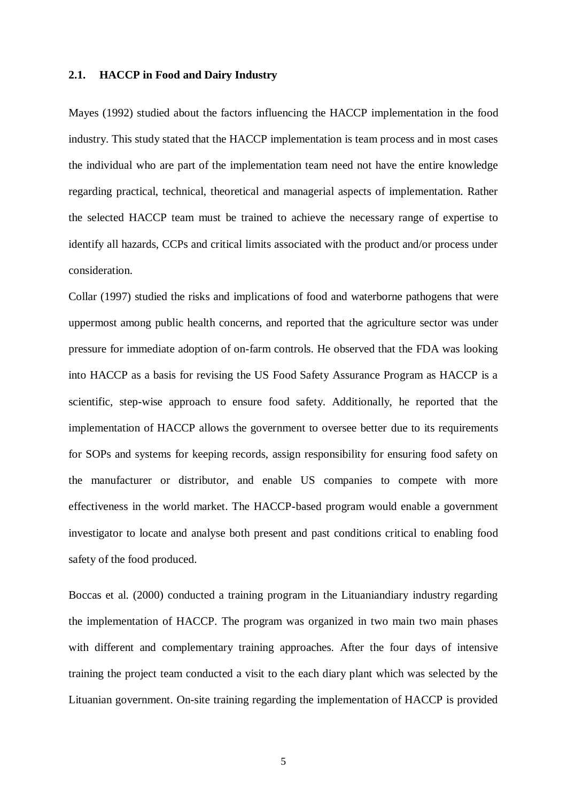#### **2.1. HACCP in Food and Dairy Industry**

Mayes (1992) studied about the factors influencing the HACCP implementation in the food industry. This study stated that the HACCP implementation is team process and in most cases the individual who are part of the implementation team need not have the entire knowledge regarding practical, technical, theoretical and managerial aspects of implementation. Rather the selected HACCP team must be trained to achieve the necessary range of expertise to identify all hazards, CCPs and critical limits associated with the product and/or process under consideration.

Collar (1997) studied the risks and implications of food and waterborne pathogens that were uppermost among public health concerns, and reported that the agriculture sector was under pressure for immediate adoption of on-farm controls. He observed that the FDA was looking into HACCP as a basis for revising the US Food Safety Assurance Program as HACCP is a scientific, step-wise approach to ensure food safety. Additionally, he reported that the implementation of HACCP allows the government to oversee better due to its requirements for SOPs and systems for keeping records, assign responsibility for ensuring food safety on the manufacturer or distributor, and enable US companies to compete with more effectiveness in the world market. The HACCP-based program would enable a government investigator to locate and analyse both present and past conditions critical to enabling food safety of the food produced.

Boccas et al. (2000) conducted a training program in the Lituaniandiary industry regarding the implementation of HACCP. The program was organized in two main two main phases with different and complementary training approaches. After the four days of intensive training the project team conducted a visit to the each diary plant which was selected by the Lituanian government. On-site training regarding the implementation of HACCP is provided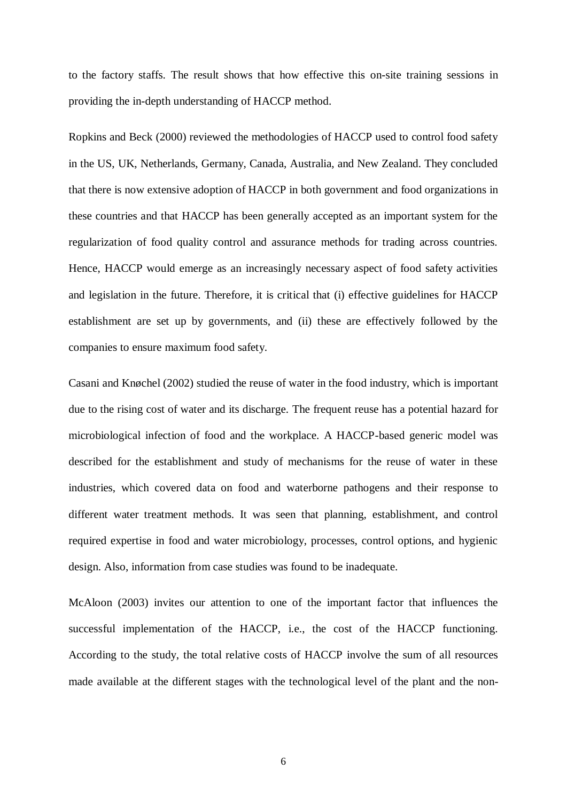to the factory staffs. The result shows that how effective this on-site training sessions in providing the in-depth understanding of HACCP method.

Ropkins and Beck (2000) reviewed the methodologies of HACCP used to control food safety in the US, UK, Netherlands, Germany, Canada, Australia, and New Zealand. They concluded that there is now extensive adoption of HACCP in both government and food organizations in these countries and that HACCP has been generally accepted as an important system for the regularization of food quality control and assurance methods for trading across countries. Hence, HACCP would emerge as an increasingly necessary aspect of food safety activities and legislation in the future. Therefore, it is critical that (i) effective guidelines for HACCP establishment are set up by governments, and (ii) these are effectively followed by the companies to ensure maximum food safety.

Casani and Knøchel (2002) studied the reuse of water in the food industry, which is important due to the rising cost of water and its discharge. The frequent reuse has a potential hazard for microbiological infection of food and the workplace. A HACCP-based generic model was described for the establishment and study of mechanisms for the reuse of water in these industries, which covered data on food and waterborne pathogens and their response to different water treatment methods. It was seen that planning, establishment, and control required expertise in food and water microbiology, processes, control options, and hygienic design. Also, information from case studies was found to be inadequate.

McAloon (2003) invites our attention to one of the important factor that influences the successful implementation of the HACCP, i.e., the cost of the HACCP functioning. According to the study, the total relative costs of HACCP involve the sum of all resources made available at the different stages with the technological level of the plant and the non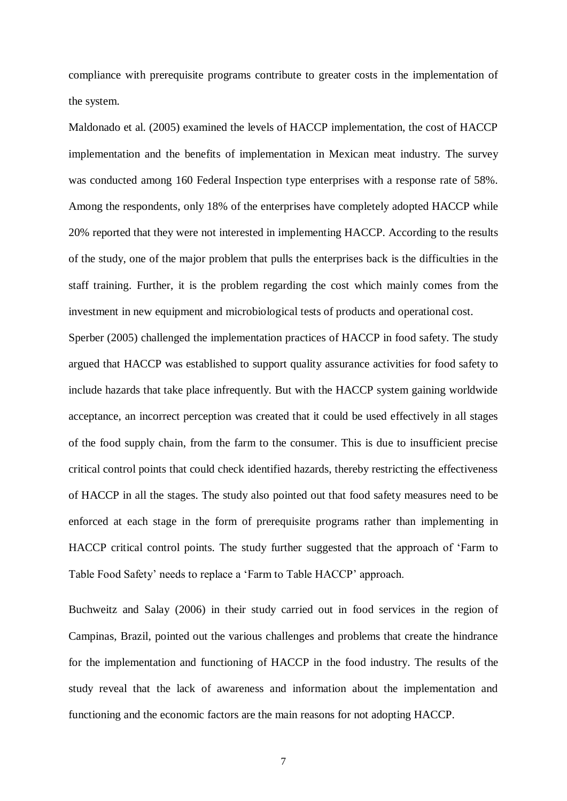compliance with prerequisite programs contribute to greater costs in the implementation of the system.

Maldonado et al. (2005) examined the levels of HACCP implementation, the cost of HACCP implementation and the benefits of implementation in Mexican meat industry. The survey was conducted among 160 Federal Inspection type enterprises with a response rate of 58%. Among the respondents, only 18% of the enterprises have completely adopted HACCP while 20% reported that they were not interested in implementing HACCP. According to the results of the study, one of the major problem that pulls the enterprises back is the difficulties in the staff training. Further, it is the problem regarding the cost which mainly comes from the investment in new equipment and microbiological tests of products and operational cost.

Sperber (2005) challenged the implementation practices of HACCP in food safety. The study argued that HACCP was established to support quality assurance activities for food safety to include hazards that take place infrequently. But with the HACCP system gaining worldwide acceptance, an incorrect perception was created that it could be used effectively in all stages of the food supply chain, from the farm to the consumer. This is due to insufficient precise critical control points that could check identified hazards, thereby restricting the effectiveness of HACCP in all the stages. The study also pointed out that food safety measures need to be enforced at each stage in the form of prerequisite programs rather than implementing in HACCP critical control points. The study further suggested that the approach of 'Farm to Table Food Safety' needs to replace a 'Farm to Table HACCP' approach.

Buchweitz and Salay (2006) in their study carried out in food services in the region of Campinas, Brazil, pointed out the various challenges and problems that create the hindrance for the implementation and functioning of HACCP in the food industry. The results of the study reveal that the lack of awareness and information about the implementation and functioning and the economic factors are the main reasons for not adopting HACCP.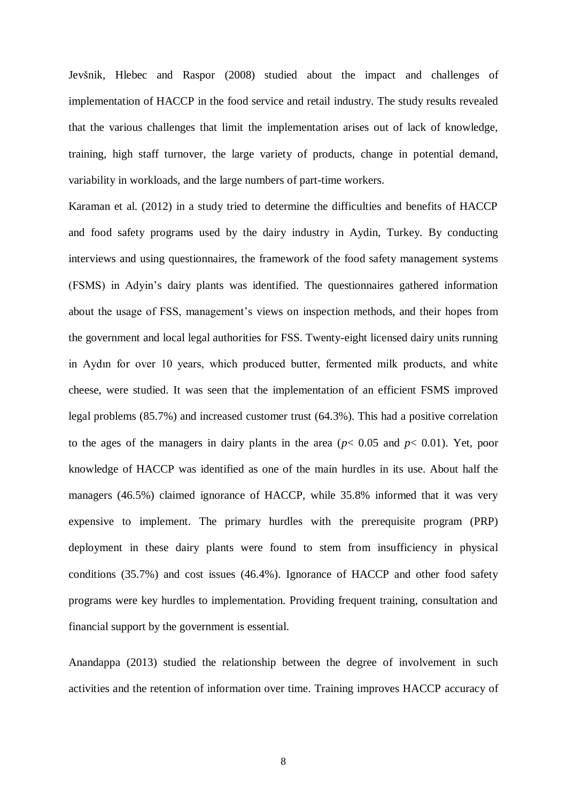Jevšnik, Hlebec and Raspor (2008) studied about the impact and challenges of implementation of HACCP in the food service and retail industry. The study results revealed that the various challenges that limit the implementation arises out of lack of knowledge, training, high staff turnover, the large variety of products, change in potential demand, variability in workloads, and the large numbers of part-time workers.

Karaman et al. (2012) in a study tried to determine the difficulties and benefits of HACCP and food safety programs used by the dairy industry in Aydin, Turkey. By conducting interviews and using questionnaires, the framework of the food safety management systems (FSMS) in Adyin's dairy plants was identified. The questionnaires gathered information about the usage of FSS, management's views on inspection methods, and their hopes from the government and local legal authorities for FSS. Twenty-eight licensed dairy units running in Aydın for over 10 years, which produced butter, fermented milk products, and white cheese, were studied. It was seen that the implementation of an efficient FSMS improved legal problems (85.7%) and increased customer trust (64.3%). This had a positive correlation to the ages of the managers in dairy plants in the area ( $p < 0.05$  and  $p < 0.01$ ). Yet, poor knowledge of HACCP was identified as one of the main hurdles in its use. About half the managers (46.5%) claimed ignorance of HACCP, while 35.8% informed that it was very expensive to implement. The primary hurdles with the prerequisite program (PRP) deployment in these dairy plants were found to stem from insufficiency in physical conditions (35.7%) and cost issues (46.4%). Ignorance of HACCP and other food safety programs were key hurdles to implementation. Providing frequent training, consultation and financial support by the government is essential.

Anandappa (2013) studied the relationship between the degree of involvement in such activities and the retention of information over time. Training improves HACCP accuracy of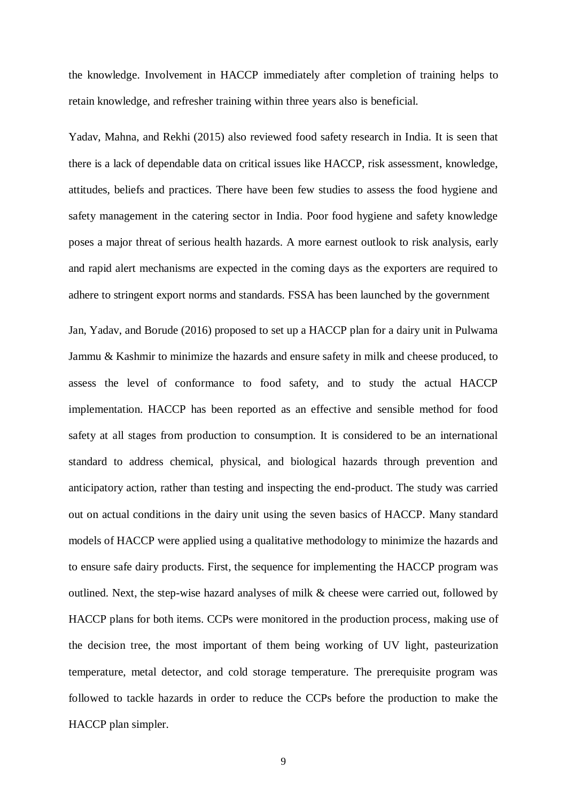the knowledge. Involvement in HACCP immediately after completion of training helps to retain knowledge, and refresher training within three years also is beneficial.

Yadav, Mahna, and Rekhi (2015) also reviewed food safety research in India. It is seen that there is a lack of dependable data on critical issues like HACCP, risk assessment, knowledge, attitudes, beliefs and practices. There have been few studies to assess the food hygiene and safety management in the catering sector in India. Poor food hygiene and safety knowledge poses a major threat of serious health hazards. A more earnest outlook to risk analysis, early and rapid alert mechanisms are expected in the coming days as the exporters are required to adhere to stringent export norms and standards. FSSA has been launched by the government

Jan, Yadav, and Borude (2016) proposed to set up a HACCP plan for a dairy unit in Pulwama Jammu & Kashmir to minimize the hazards and ensure safety in milk and cheese produced, to assess the level of conformance to food safety, and to study the actual HACCP implementation. HACCP has been reported as an effective and sensible method for food safety at all stages from production to consumption. It is considered to be an international standard to address chemical, physical, and biological hazards through prevention and anticipatory action, rather than testing and inspecting the end-product. The study was carried out on actual conditions in the dairy unit using the seven basics of HACCP. Many standard models of HACCP were applied using a qualitative methodology to minimize the hazards and to ensure safe dairy products. First, the sequence for implementing the HACCP program was outlined. Next, the step-wise hazard analyses of milk & cheese were carried out, followed by HACCP plans for both items. CCPs were monitored in the production process, making use of the decision tree, the most important of them being working of UV light, pasteurization temperature, metal detector, and cold storage temperature. The prerequisite program was followed to tackle hazards in order to reduce the CCPs before the production to make the HACCP plan simpler.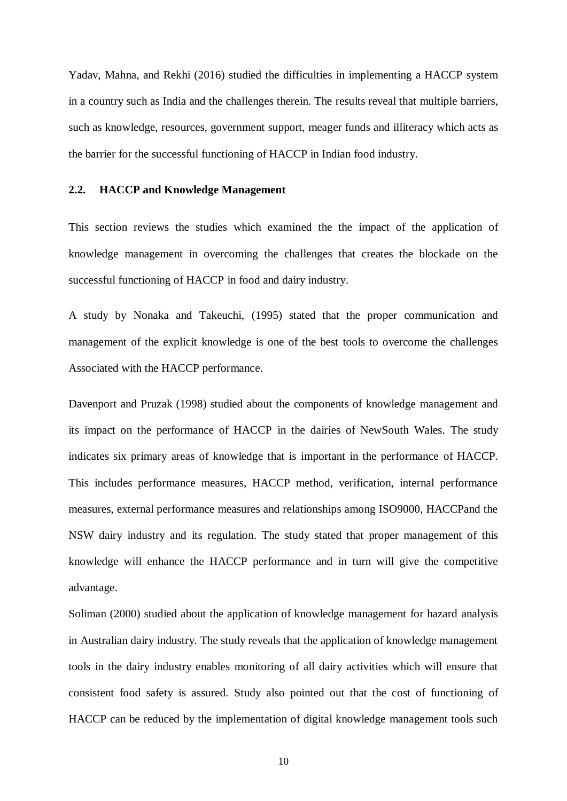Yadav, Mahna, and Rekhi (2016) studied the difficulties in implementing a HACCP system in a country such as India and the challenges therein. The results reveal that multiple barriers, such as knowledge, resources, government support, meager funds and illiteracy which acts as the barrier for the successful functioning of HACCP in Indian food industry.

#### **2.2. HACCP and Knowledge Management**

This section reviews the studies which examined the the impact of the application of knowledge management in overcoming the challenges that creates the blockade on the successful functioning of HACCP in food and dairy industry.

A study by Nonaka and Takeuchi, (1995) stated that the proper communication and management of the explicit knowledge is one of the best tools to overcome the challenges Associated with the HACCP performance.

Davenport and Pruzak (1998) studied about the components of knowledge management and its impact on the performance of HACCP in the dairies of NewSouth Wales. The study indicates six primary areas of knowledge that is important in the performance of HACCP. This includes performance measures, HACCP method, verification, internal performance measures, external performance measures and relationships among ISO9000, HACCPand the NSW dairy industry and its regulation. The study stated that proper management of this knowledge will enhance the HACCP performance and in turn will give the competitive advantage.

Soliman (2000) studied about the application of knowledge management for hazard analysis in Australian dairy industry. The study reveals that the application of knowledge management tools in the dairy industry enables monitoring of all dairy activities which will ensure that consistent food safety is assured. Study also pointed out that the cost of functioning of HACCP can be reduced by the implementation of digital knowledge management tools such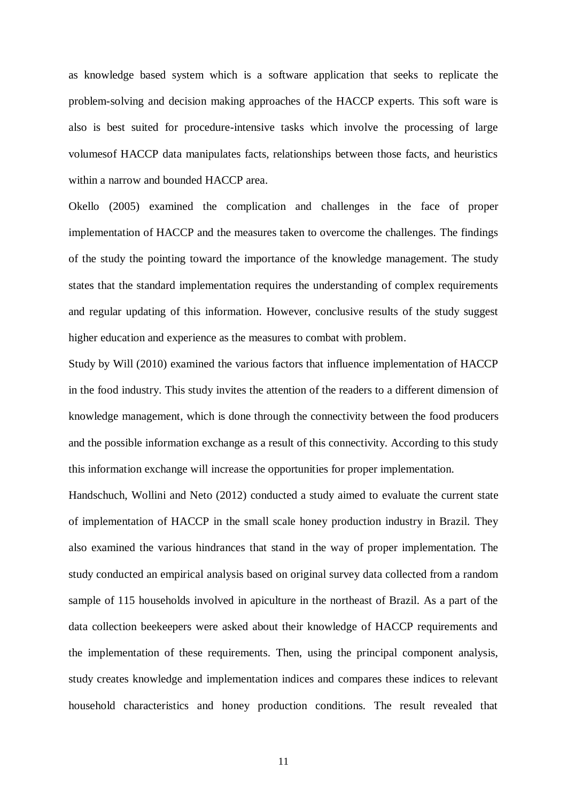as knowledge based system which is a software application that seeks to replicate the problem-solving and decision making approaches of the HACCP experts. This soft ware is also is best suited for procedure-intensive tasks which involve the processing of large volumesof HACCP data manipulates facts, relationships between those facts, and heuristics within a narrow and bounded HACCP area.

Okello (2005) examined the complication and challenges in the face of proper implementation of HACCP and the measures taken to overcome the challenges. The findings of the study the pointing toward the importance of the knowledge management. The study states that the standard implementation requires the understanding of complex requirements and regular updating of this information. However, conclusive results of the study suggest higher education and experience as the measures to combat with problem.

Study by Will (2010) examined the various factors that influence implementation of HACCP in the food industry. This study invites the attention of the readers to a different dimension of knowledge management, which is done through the connectivity between the food producers and the possible information exchange as a result of this connectivity. According to this study this information exchange will increase the opportunities for proper implementation.

Handschuch, Wollini and Neto (2012) conducted a study aimed to evaluate the current state of implementation of HACCP in the small scale honey production industry in Brazil. They also examined the various hindrances that stand in the way of proper implementation. The study conducted an empirical analysis based on original survey data collected from a random sample of 115 households involved in apiculture in the northeast of Brazil. As a part of the data collection beekeepers were asked about their knowledge of HACCP requirements and the implementation of these requirements. Then, using the principal component analysis, study creates knowledge and implementation indices and compares these indices to relevant household characteristics and honey production conditions. The result revealed that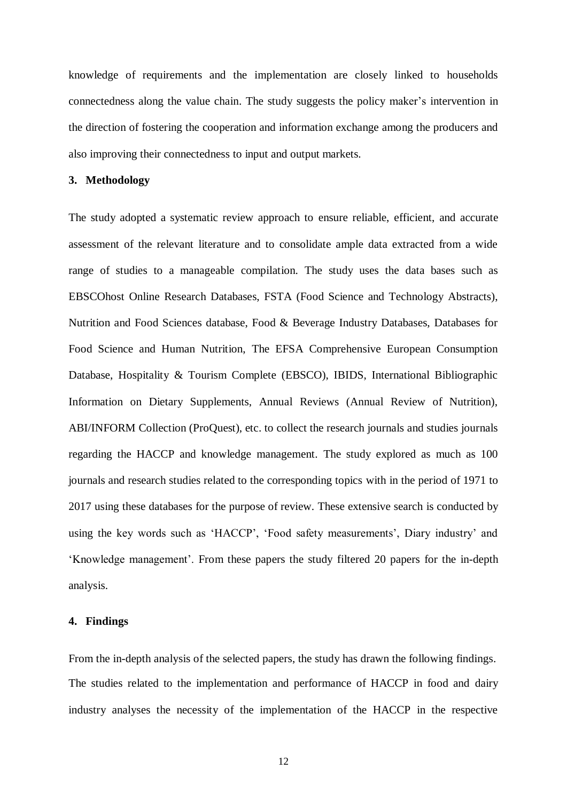knowledge of requirements and the implementation are closely linked to households connectedness along the value chain. The study suggests the policy maker's intervention in the direction of fostering the cooperation and information exchange among the producers and also improving their connectedness to input and output markets.

#### **3. Methodology**

The study adopted a systematic review approach to ensure reliable, efficient, and accurate assessment of the relevant literature and to consolidate ample data extracted from a wide range of studies to a manageable compilation. The study uses the data bases such as EBSCOhost Online Research Databases, FSTA (Food Science and Technology Abstracts), Nutrition and Food Sciences database, Food & Beverage Industry Databases, Databases for Food Science and Human Nutrition, The EFSA Comprehensive European Consumption Database, Hospitality & Tourism Complete (EBSCO), IBIDS, International Bibliographic Information on Dietary Supplements, Annual Reviews (Annual Review of Nutrition), ABI/INFORM Collection (ProQuest), etc. to collect the research journals and studies journals regarding the HACCP and knowledge management. The study explored as much as 100 journals and research studies related to the corresponding topics with in the period of 1971 to 2017 using these databases for the purpose of review. These extensive search is conducted by using the key words such as 'HACCP', 'Food safety measurements', Diary industry' and 'Knowledge management'. From these papers the study filtered 20 papers for the in-depth analysis.

#### **4. Findings**

From the in-depth analysis of the selected papers, the study has drawn the following findings. The studies related to the implementation and performance of HACCP in food and dairy industry analyses the necessity of the implementation of the HACCP in the respective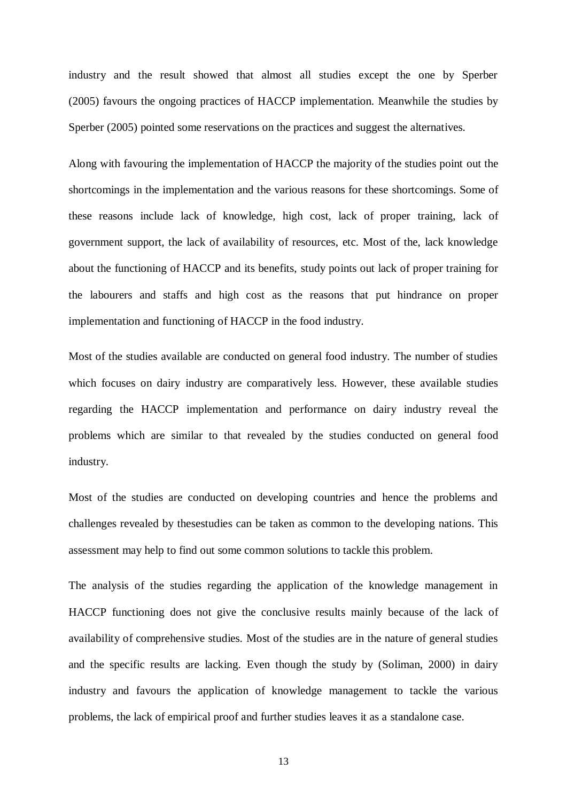industry and the result showed that almost all studies except the one by Sperber (2005) favours the ongoing practices of HACCP implementation. Meanwhile the studies by Sperber (2005) pointed some reservations on the practices and suggest the alternatives.

Along with favouring the implementation of HACCP the majority of the studies point out the shortcomings in the implementation and the various reasons for these shortcomings. Some of these reasons include lack of knowledge, high cost, lack of proper training, lack of government support, the lack of availability of resources, etc. Most of the, lack knowledge about the functioning of HACCP and its benefits, study points out lack of proper training for the labourers and staffs and high cost as the reasons that put hindrance on proper implementation and functioning of HACCP in the food industry.

Most of the studies available are conducted on general food industry. The number of studies which focuses on dairy industry are comparatively less. However, these available studies regarding the HACCP implementation and performance on dairy industry reveal the problems which are similar to that revealed by the studies conducted on general food industry.

Most of the studies are conducted on developing countries and hence the problems and challenges revealed by thesestudies can be taken as common to the developing nations. This assessment may help to find out some common solutions to tackle this problem.

The analysis of the studies regarding the application of the knowledge management in HACCP functioning does not give the conclusive results mainly because of the lack of availability of comprehensive studies. Most of the studies are in the nature of general studies and the specific results are lacking. Even though the study by (Soliman, 2000) in dairy industry and favours the application of knowledge management to tackle the various problems, the lack of empirical proof and further studies leaves it as a standalone case.

13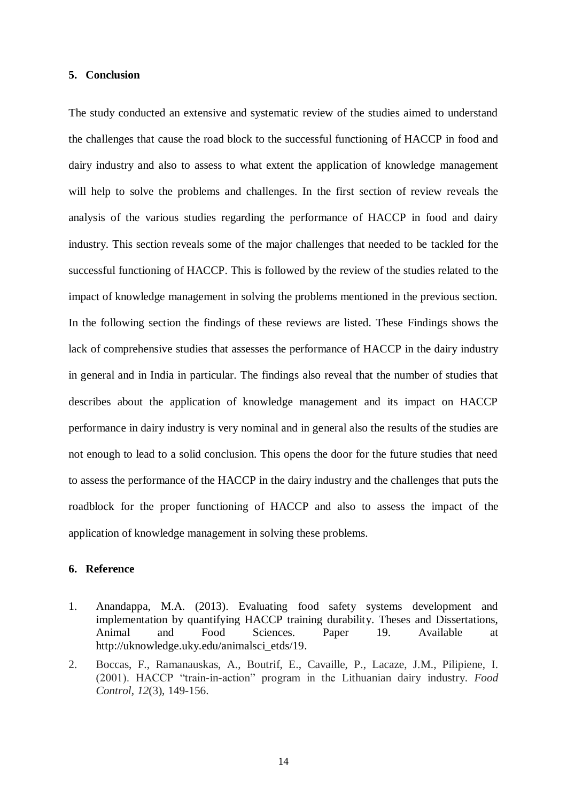#### **5. Conclusion**

The study conducted an extensive and systematic review of the studies aimed to understand the challenges that cause the road block to the successful functioning of HACCP in food and dairy industry and also to assess to what extent the application of knowledge management will help to solve the problems and challenges. In the first section of review reveals the analysis of the various studies regarding the performance of HACCP in food and dairy industry. This section reveals some of the major challenges that needed to be tackled for the successful functioning of HACCP. This is followed by the review of the studies related to the impact of knowledge management in solving the problems mentioned in the previous section. In the following section the findings of these reviews are listed. These Findings shows the lack of comprehensive studies that assesses the performance of HACCP in the dairy industry in general and in India in particular. The findings also reveal that the number of studies that describes about the application of knowledge management and its impact on HACCP performance in dairy industry is very nominal and in general also the results of the studies are not enough to lead to a solid conclusion. This opens the door for the future studies that need to assess the performance of the HACCP in the dairy industry and the challenges that puts the roadblock for the proper functioning of HACCP and also to assess the impact of the application of knowledge management in solving these problems.

#### **6. Reference**

- 1. Anandappa, M.A. (2013). Evaluating food safety systems development and implementation by quantifying HACCP training durability. Theses and Dissertations, Animal and Food Sciences. Paper 19. Available at http://uknowledge.uky.edu/animalsci\_etds/19.
- 2. Boccas, F., Ramanauskas, A., Boutrif, E., Cavaille, P., Lacaze, J.M., Pilipiene, I. (2001). HACCP "train-in-action" program in the Lithuanian dairy industry. *Food Control*, *12*(3), 149-156.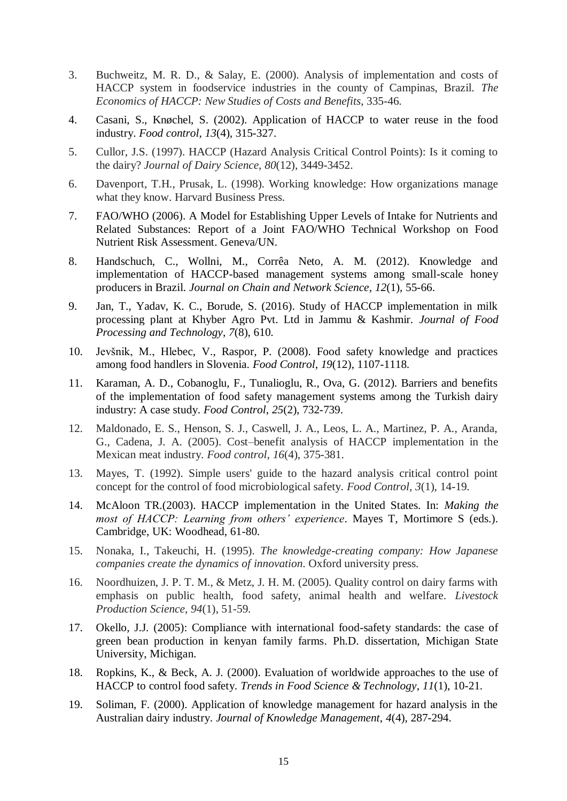- 3. Buchweitz, M. R. D., & Salay, E. (2000). Analysis of implementation and costs of HACCP system in foodservice industries in the county of Campinas, Brazil. *The Economics of HACCP: New Studies of Costs and Benefits*, 335-46.
- 4. Casani, S., Knøchel, S. (2002). Application of HACCP to water reuse in the food industry. *Food control*, *13*(4), 315-327.
- 5. Cullor, J.S. (1997). HACCP (Hazard Analysis Critical Control Points): Is it coming to the dairy? *Journal of Dairy Science*, *80*(12), 3449-3452.
- 6. Davenport, T.H., Prusak, L. (1998). Working knowledge: How organizations manage what they know. Harvard Business Press.
- 7. FAO/WHO (2006). A Model for Establishing Upper Levels of Intake for Nutrients and Related Substances: Report of a Joint FAO/WHO Technical Workshop on Food Nutrient Risk Assessment. Geneva/UN.
- 8. Handschuch, C., Wollni, M., Corrêa Neto, A. M. (2012). Knowledge and implementation of HACCP-based management systems among small-scale honey producers in Brazil. *Journal on Chain and Network Science*, *12*(1), 55-66.
- 9. Jan, T., Yadav, K. C., Borude, S. (2016). Study of HACCP implementation in milk processing plant at Khyber Agro Pvt. Ltd in Jammu & Kashmir. *Journal of Food Processing and Technology*, *7*(8), 610.
- 10. Jevšnik, M., Hlebec, V., Raspor, P. (2008). Food safety knowledge and practices among food handlers in Slovenia. *Food Control*, *19*(12), 1107-1118.
- 11. Karaman, A. D., Cobanoglu, F., Tunalioglu, R., Ova, G. (2012). Barriers and benefits of the implementation of food safety management systems among the Turkish dairy industry: A case study. *Food Control*, *25*(2), 732-739.
- 12. Maldonado, E. S., Henson, S. J., Caswell, J. A., Leos, L. A., Martinez, P. A., Aranda, G., Cadena, J. A. (2005). Cost–benefit analysis of HACCP implementation in the Mexican meat industry. *Food control*, *16*(4), 375-381.
- 13. Mayes, T. (1992). Simple users' guide to the hazard analysis critical control point concept for the control of food microbiological safety. *Food Control*, *3*(1), 14-19.
- 14. McAloon TR.(2003). HACCP implementation in the United States. In: *Making the most of HACCP: Learning from others' experience*. Mayes T, Mortimore S (eds.). Cambridge, UK: Woodhead, 61-80.
- 15. Nonaka, I., Takeuchi, H. (1995). *The knowledge-creating company: How Japanese companies create the dynamics of innovation*. Oxford university press.
- 16. Noordhuizen, J. P. T. M., & Metz, J. H. M. (2005). Quality control on dairy farms with emphasis on public health, food safety, animal health and welfare. *Livestock Production Science*, *94*(1), 51-59.
- 17. Okello, J.J. (2005): Compliance with international food-safety standards: the case of green bean production in kenyan family farms. Ph.D. dissertation, Michigan State University, Michigan.
- 18. Ropkins, K., & Beck, A. J. (2000). Evaluation of worldwide approaches to the use of HACCP to control food safety. *Trends in Food Science & Technology*, *11*(1), 10-21.
- 19. Soliman, F. (2000). Application of knowledge management for hazard analysis in the Australian dairy industry. *Journal of Knowledge Management*, *4*(4), 287-294.